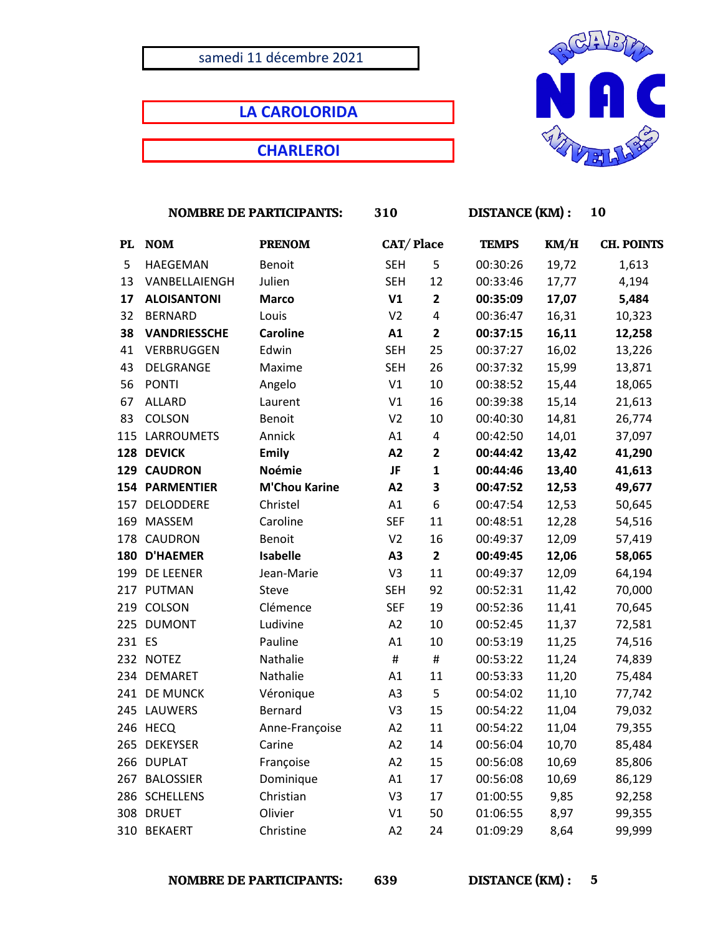## samedi 11 décembre 2021

**LA CAROLORIDA**

**CHARLEROI**



|        | <b>NOMBRE DE PARTICIPANTS:</b> |                      | 310            |                         | <b>DISTANCE</b> (KM) : |       | 10                |  |
|--------|--------------------------------|----------------------|----------------|-------------------------|------------------------|-------|-------------------|--|
| PL     | <b>NOM</b>                     | <b>PRENOM</b>        | CAT/Place      |                         | <b>TEMPS</b>           | KM/H  | <b>CH. POINTS</b> |  |
| 5      | HAEGEMAN                       | Benoit               | <b>SEH</b>     | 5                       | 00:30:26               | 19,72 | 1,613             |  |
| 13     | VANBELLAIENGH                  | Julien               | <b>SEH</b>     | 12                      | 00:33:46               | 17,77 | 4,194             |  |
| 17     | <b>ALOISANTONI</b>             | <b>Marco</b>         | V1             | $\overline{2}$          | 00:35:09               | 17,07 | 5,484             |  |
| 32     | <b>BERNARD</b>                 | Louis                | V <sub>2</sub> | 4                       | 00:36:47               | 16,31 | 10,323            |  |
| 38     | <b>VANDRIESSCHE</b>            | <b>Caroline</b>      | A1             | $\overline{\mathbf{2}}$ | 00:37:15               | 16,11 | 12,258            |  |
| 41     | VERBRUGGEN                     | Edwin                | <b>SEH</b>     | 25                      | 00:37:27               | 16,02 | 13,226            |  |
| 43     | DELGRANGE                      | Maxime               | <b>SEH</b>     | 26                      | 00:37:32               | 15,99 | 13,871            |  |
| 56     | <b>PONTI</b>                   | Angelo               | V1             | 10                      | 00:38:52               | 15,44 | 18,065            |  |
| 67     | <b>ALLARD</b>                  | Laurent              | V1             | 16                      | 00:39:38               | 15,14 | 21,613            |  |
| 83     | COLSON                         | Benoit               | V <sub>2</sub> | 10                      | 00:40:30               | 14,81 | 26,774            |  |
|        | 115 LARROUMETS                 | Annick               | A1             | 4                       | 00:42:50               | 14,01 | 37,097            |  |
|        | 128 DEVICK                     | <b>Emily</b>         | A2             | $\overline{2}$          | 00:44:42               | 13,42 | 41,290            |  |
|        | 129 CAUDRON                    | <b>Noémie</b>        | <b>JF</b>      | $\mathbf{1}$            | 00:44:46               | 13,40 | 41,613            |  |
|        | <b>154 PARMENTIER</b>          | <b>M'Chou Karine</b> | A2             | 3                       | 00:47:52               | 12,53 | 49,677            |  |
|        | 157 DELODDERE                  | Christel             | A1             | 6                       | 00:47:54               | 12,53 | 50,645            |  |
| 169    | <b>MASSEM</b>                  | Caroline             | <b>SEF</b>     | 11                      | 00:48:51               | 12,28 | 54,516            |  |
|        | 178 CAUDRON                    | <b>Benoit</b>        | V <sub>2</sub> | 16                      | 00:49:37               | 12,09 | 57,419            |  |
|        | 180 D'HAEMER                   | <b>Isabelle</b>      | A3             | $\mathbf{2}$            | 00:49:45               | 12,06 | 58,065            |  |
|        | 199 DE LEENER                  | Jean-Marie           | V3             | 11                      | 00:49:37               | 12,09 | 64,194            |  |
|        | 217 PUTMAN                     | Steve                | <b>SEH</b>     | 92                      | 00:52:31               | 11,42 | 70,000            |  |
| 219    | COLSON                         | Clémence             | <b>SEF</b>     | 19                      | 00:52:36               | 11,41 | 70,645            |  |
|        | 225 DUMONT                     | Ludivine             | A2             | 10                      | 00:52:45               | 11,37 | 72,581            |  |
| 231 ES |                                | Pauline              | A1             | 10                      | 00:53:19               | 11,25 | 74,516            |  |
|        | 232 NOTEZ                      | Nathalie             | $\#$           | $\#$                    | 00:53:22               | 11,24 | 74,839            |  |
|        | 234 DEMARET                    | Nathalie             | A1             | 11                      | 00:53:33               | 11,20 | 75,484            |  |
|        | 241 DE MUNCK                   | Véronique            | A <sub>3</sub> | 5                       | 00:54:02               | 11,10 | 77,742            |  |
|        | 245 LAUWERS                    | Bernard              | V3             | 15                      | 00:54:22               | 11,04 | 79,032            |  |
|        | 246 HECQ                       | Anne-Françoise       | A2             | 11                      | 00:54:22               | 11,04 | 79,355            |  |
|        | 265 DEKEYSER                   | Carine               | A2             | 14                      | 00:56:04               | 10,70 | 85,484            |  |
|        | 266 DUPLAT                     | Françoise            | A2             | 15                      | 00:56:08               | 10,69 | 85,806            |  |
| 267    | <b>BALOSSIER</b>               | Dominique            | A1             | 17                      | 00:56:08               | 10,69 | 86,129            |  |
|        | 286 SCHELLENS                  | Christian            | V3             | 17                      | 01:00:55               | 9,85  | 92,258            |  |
|        | 308 DRUET                      | Olivier              | V1             | 50                      | 01:06:55               | 8,97  | 99,355            |  |
|        | 310 BEKAERT                    | Christine            | A <sub>2</sub> | 24                      | 01:09:29               | 8,64  | 99,999            |  |

 **NOMBRE DE PARTICIPANTS: 639 DISTANCE (KM) : 5**